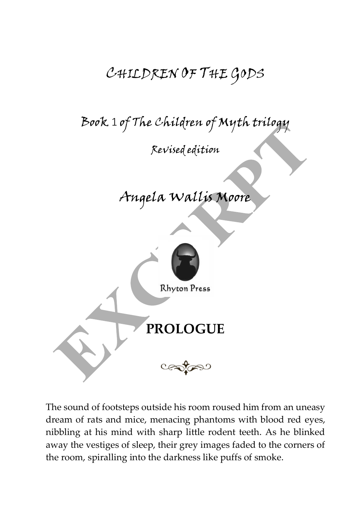## CHILDREN OF THE GODS

Book 1 of The Children of Myth trilogy

Revised edition

## Angela Wallis Moore



The sound of footsteps outside his room roused him from an uneasy dream of rats and mice, menacing phantoms with blood red eyes, nibbling at his mind with sharp little rodent teeth. As he blinked away the vestiges of sleep, their grey images faded to the corners of the room, spiralling into the darkness like puffs of smoke.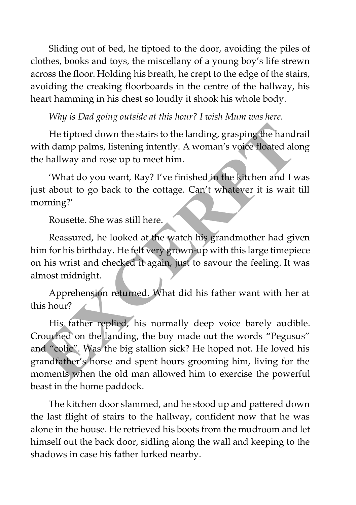Sliding out of bed, he tiptoed to the door, avoiding the piles of clothes, books and toys, the miscellany of a young boy's life strewn across the floor. Holding his breath, he crept to the edge of the stairs, avoiding the creaking floorboards in the centre of the hallway, his heart hamming in his chest so loudly it shook his whole body.

*Why is Dad going outside at this hour? I wish Mum was here.*

He tiptoed down the stairs to the landing, grasping the handrail with damp palms, listening intently. A woman's voice floated along the hallway and rose up to meet him.

'What do you want, Ray? I've finished in the kitchen and I was just about to go back to the cottage. Can't whatever it is wait till morning?'

Rousette. She was still here.

Reassured, he looked at the watch his grandmother had given him for his birthday. He felt very grown-up with this large timepiece on his wrist and checked it again, just to savour the feeling. It was almost midnight.

Apprehension returned. What did his father want with her at this hour?

His father replied, his normally deep voice barely audible. Crouched on the landing, the boy made out the words "Pegusus" and "colic". Was the big stallion sick? He hoped not. He loved his grandfather's horse and spent hours grooming him, living for the moments when the old man allowed him to exercise the powerful beast in the home paddock.

The kitchen door slammed, and he stood up and pattered down the last flight of stairs to the hallway, confident now that he was alone in the house. He retrieved his boots from the mudroom and let himself out the back door, sidling along the wall and keeping to the shadows in case his father lurked nearby.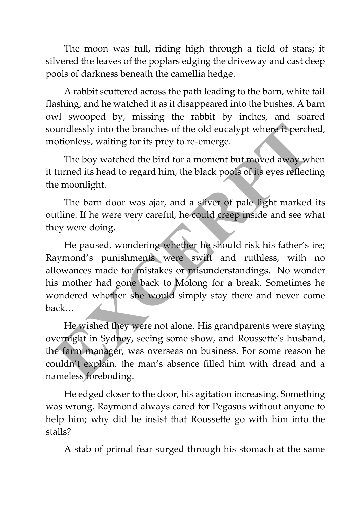The moon was full, riding high through a field of stars; it silvered the leaves of the poplars edging the driveway and cast deep pools of darkness beneath the camellia hedge.

A rabbit scuttered across the path leading to the barn, white tail flashing, and he watched it as it disappeared into the bushes. A barn owl swooped by, missing the rabbit by inches, and soared soundlessly into the branches of the old eucalypt where it perched, motionless, waiting for its prey to re-emerge.

The boy watched the bird for a moment but moved away when it turned its head to regard him, the black pools of its eyes reflecting the moonlight.

The barn door was ajar, and a sliver of pale light marked its outline. If he were very careful, he could creep inside and see what they were doing.

He paused, wondering whether he should risk his father's ire; Raymond's punishments were swift and ruthless, with no allowances made for mistakes or misunderstandings. No wonder his mother had gone back to Molong for a break. Sometimes he wondered whether she would simply stay there and never come back…

He wished they were not alone. His grandparents were staying overnight in Sydney, seeing some show, and Roussette's husband, the farm manager, was overseas on business. For some reason he couldn't explain, the man's absence filled him with dread and a nameless foreboding.

He edged closer to the door, his agitation increasing. Something was wrong. Raymond always cared for Pegasus without anyone to help him; why did he insist that Roussette go with him into the stalls?

A stab of primal fear surged through his stomach at the same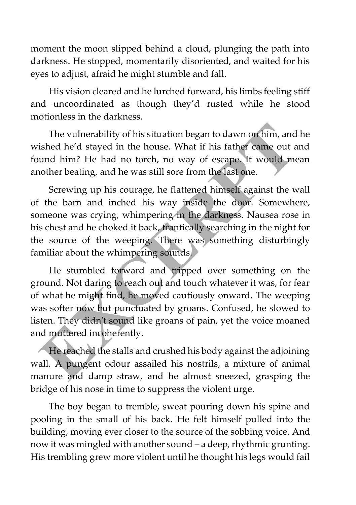moment the moon slipped behind a cloud, plunging the path into darkness. He stopped, momentarily disoriented, and waited for his eyes to adjust, afraid he might stumble and fall.

His vision cleared and he lurched forward, his limbs feeling stiff and uncoordinated as though they'd rusted while he stood motionless in the darkness.

The vulnerability of his situation began to dawn on him, and he wished he'd stayed in the house. What if his father came out and found him? He had no torch, no way of escape. It would mean another beating, and he was still sore from the last one.

Screwing up his courage, he flattened himself against the wall of the barn and inched his way inside the door. Somewhere, someone was crying, whimpering in the darkness. Nausea rose in his chest and he choked it back, frantically searching in the night for the source of the weeping. There was something disturbingly familiar about the whimpering sounds.

He stumbled forward and tripped over something on the ground. Not daring to reach out and touch whatever it was, for fear of what he might find, he moved cautiously onward. The weeping was softer now but punctuated by groans. Confused, he slowed to listen. They didn't sound like groans of pain, yet the voice moaned and muttered incoherently.

He reached the stalls and crushed his body against the adjoining wall. A pungent odour assailed his nostrils, a mixture of animal manure and damp straw, and he almost sneezed, grasping the bridge of his nose in time to suppress the violent urge.

The boy began to tremble, sweat pouring down his spine and pooling in the small of his back. He felt himself pulled into the building, moving ever closer to the source of the sobbing voice. And now it was mingled with another sound – a deep, rhythmic grunting. His trembling grew more violent until he thought his legs would fail